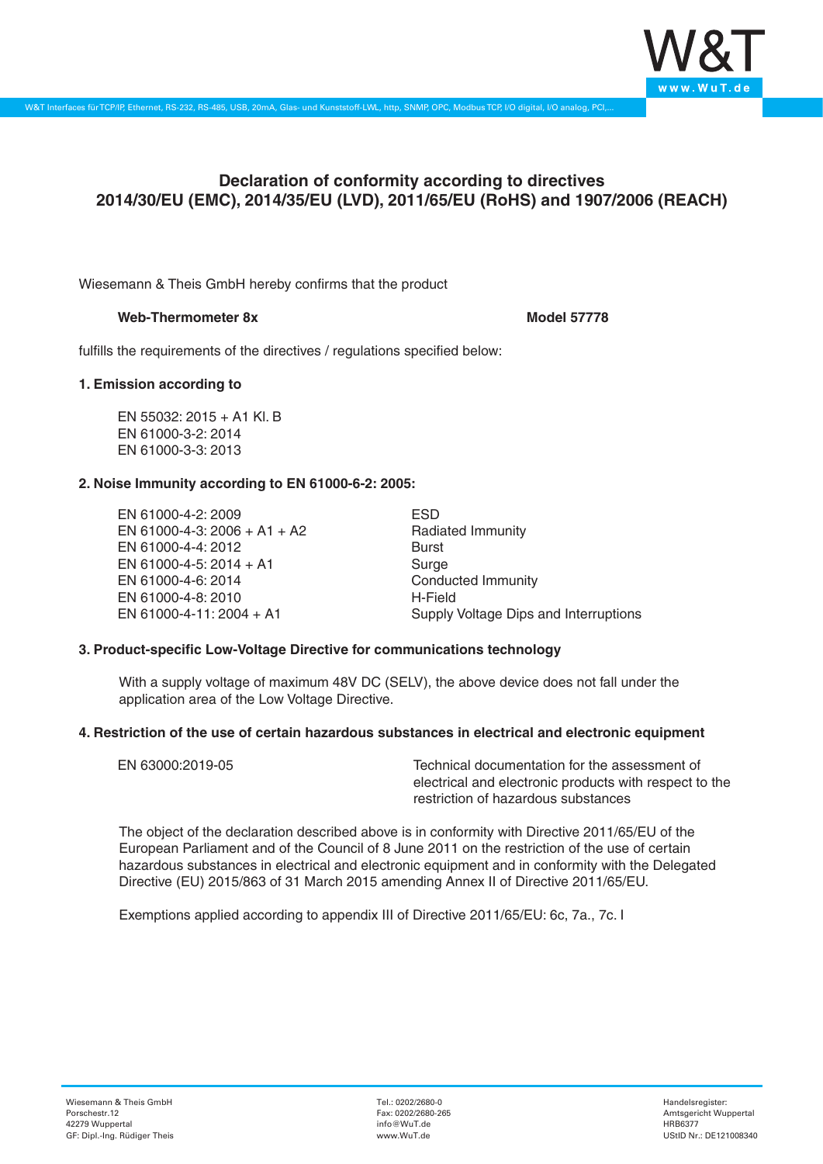

# **Declaration of conformity according to directives 2014/30/EU (EMC), 2014/35/EU (LVD), 2011/65/EU (RoHS) and 1907/2006 (REACH)**

Wiesemann & Theis GmbH hereby confirms that the product

### **Web-Thermometer 8x Model 57778**

fulfills the requirements of the directives / regulations specified below:

## **1. Emission according to**

EN 55032: 2015 + A1 Kl. B EN 61000-3-2: 2014 EN 61000-3-3: 2013

## **2. Noise Immunity according to EN 61000-6-2: 2005:**

EN 61000-4-2: 2009 EN 61000-4-3: 2006 + A1 + A2 EN 61000-4-4: 2012 EN 61000-4-5: 2014 + A1 EN 61000-4-6: 2014 EN 61000-4-8: 2010 EN 61000-4-11: 2004 + A1

ESD Radiated Immunity Burst Surge Conducted Immunity H-Field Supply Voltage Dips and Interruptions

### **3. Product-specific Low-Voltage Directive for communications technology**

With a supply voltage of maximum 48V DC (SELV), the above device does not fall under the application area of the Low Voltage Directive.

### **4. Restriction of the use of certain hazardous substances in electrical and electronic equipment**

| EN 63000:2019-05 | Technical documentation for the assessment of          |
|------------------|--------------------------------------------------------|
|                  | electrical and electronic products with respect to the |
|                  | restriction of hazardous substances                    |

The object of the declaration described above is in conformity with Directive 2011/65/EU of the European Parliament and of the Council of 8 June 2011 on the restriction of the use of certain hazardous substances in electrical and electronic equipment and in conformity with the Delegated Directive (EU) 2015/863 of 31 March 2015 amending Annex II of Directive 2011/65/EU.

Exemptions applied according to appendix III of Directive 2011/65/EU: 6c, 7a., 7c. I